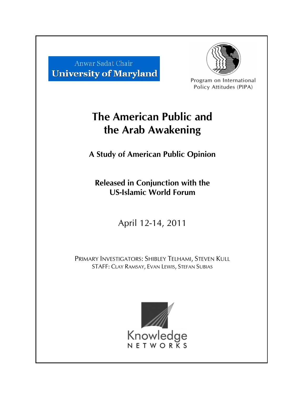



Program on International Policy Attitudes (PIPA)

# **The American Public and the Arab Awakening**

**A Study of American Public Opinion** 

**Released in Conjunction with the US-Islamic World Forum** 

April 12-14, 2011

PRIMARY INVESTIGATORS: SHIBLEY TELHAMI, STEVEN KULL STAFF: CLAY RAMSAY, EVAN LEWIS, STEFAN SUBIAS

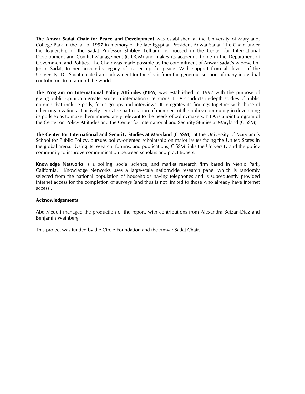**The Anwar Sadat Chair for Peace and Development** was established at the University of Maryland, College Park in the fall of 1997 in memory of the late Egyptian President Anwar Sadat. The Chair, under the leadership of the Sadat Professor Shibley Telhami, is housed in the Center for International Development and Conflict Management (CIDCM) and makes its academic home in the Department of Government and Politics. The Chair was made possible by the commitment of Anwar Sadat's widow, Dr. Jehan Sadat, to her husband's legacy of leadership for peace. With support from all levels of the University, Dr. Sadat created an endowment for the Chair from the generous support of many individual contributors from around the world.

**The Program on International Policy Attitudes (PIPA)** was established in 1992 with the purpose of giving public opinion a greater voice in international relations. PIPA conducts in-depth studies of public opinion that include polls, focus groups and interviews. It integrates its findings together with those of other organizations. It actively seeks the participation of members of the policy community in developing its polls so as to make them immediately relevant to the needs of policymakers. PIPA is a joint program of the Center on Policy Attitudes and the Center for International and Security Studies at Maryland (CISSM).

**The Center for International and Security Studies at Maryland (CISSM)**, at the University of Maryland's School for Public Policy, pursues policy-oriented scholarship on major issues facing the United States in the global arena. Using its research, forums, and publications, CISSM links the University and the policy community to improve communication between scholars and practitioners.

**Knowledge Networks** is a polling, social science, and market research firm based in Menlo Park, California. Knowledge Networks uses a large-scale nationwide research panel which is randomly selected from the national population of households having telephones and is subsequently provided internet access for the completion of surveys (and thus is not limited to those who already have internet access).

#### **Acknowledgements**

Abe Medoff managed the production of the report, with contributions from Alexandra Beizan-Diaz and Benjamin Weinberg.

This project was funded by the Circle Foundation and the Anwar Sadat Chair.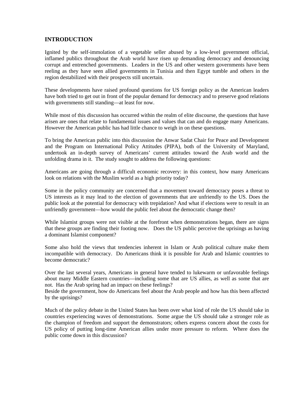# **INTRODUCTION**

Ignited by the self-immolation of a vegetable seller abused by a low-level government official, inflamed publics throughout the Arab world have risen up demanding democracy and denouncing corrupt and entrenched governments. Leaders in the US and other western governments have been reeling as they have seen allied governments in Tunisia and then Egypt tumble and others in the region destabilized with their prospects still uncertain.

These developments have raised profound questions for US foreign policy as the American leaders have both tried to get out in front of the popular demand for democracy and to preserve good relations with governments still standing—at least for now.

While most of this discussion has occurred within the realm of elite discourse, the questions that have arisen are ones that relate to fundamental issues and values that can and do engage many Americans. However the American public has had little chance to weigh in on these questions.

To bring the American public into this discussion the Anwar Sadat Chair for Peace and Development and the Program on International Policy Attitudes (PIPA), both of the University of Maryland, undertook an in-depth survey of Americans' current attitudes toward the Arab world and the unfolding drama in it. The study sought to address the following questions:

Americans are going through a difficult economic recovery: in this context, how many Americans look on relations with the Muslim world as a high priority today?

Some in the policy community are concerned that a movement toward democracy poses a threat to US interests as it may lead to the election of governments that are unfriendly to the US. Does the public look at the potential for democracy with trepidation? And what if elections were to result in an unfriendly government—how would the public feel about the democratic change then?

While Islamist groups were not visible at the forefront when demonstrations began, there are signs that these groups are finding their footing now. Does the US public perceive the uprisings as having a dominant Islamist component?

Some also hold the views that tendencies inherent in Islam or Arab political culture make them incompatible with democracy. Do Americans think it is possible for Arab and Islamic countries to become democratic?

Over the last several years, Americans in general have tended to lukewarm or unfavorable feelings about many Middle Eastern countries—including some that are US allies, as well as some that are not. Has the Arab spring had an impact on these feelings?

Beside the government, how do Americans feel about the Arab people and how has this been affected by the uprisings?

Much of the policy debate in the United States has been over what kind of role the US should take in countries experiencing waves of demonstrations. Some argue the US should take a stronger role as the champion of freedom and support the demonstrators; others express concern about the costs for US policy of putting long-time American allies under more pressure to reform. Where does the public come down in this discussion?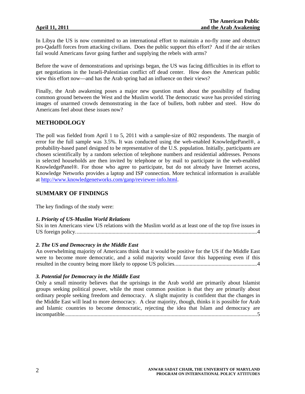In Libya the US is now committed to an international effort to maintain a no-fly zone and obstruct pro-Qadaffi forces from attacking civilians. Does the public support this effort? And if the air strikes fail would Americans favor going further and supplying the rebels with arms?

Before the wave of demonstrations and uprisings began, the US was facing difficulties in its effort to get negotiations in the Israeli-Palestinian conflict off dead center. How does the American public view this effort now—and has the Arab spring had an influence on their views?

Finally, the Arab awakening poses a major new question mark about the possibility of finding common ground between the West and the Muslim world. The democratic wave has provided stirring images of unarmed crowds demonstrating in the face of bullets, both rubber and steel. How do Americans feel about these issues now?

# **METHODOLOGY**

The poll was fielded from April 1 to 5, 2011 with a sample-size of 802 respondents. The margin of error for the full sample was 3.5%. It was conducted using the web-enabled KnowledgePanel®, a probability-based panel designed to be representative of the U.S. population. Initially, participants are chosen scientifically by a random selection of telephone numbers and residential addresses. Persons in selected households are then invited by telephone or by mail to participate in the web-enabled KnowledgePanel®. For those who agree to participate, but do not already have Internet access, Knowledge Networks provides a laptop and ISP connection. More technical information is available at <http://www.knowledgenetworks.com/ganp/reviewer-info.html>.

# **SUMMARY OF FINDINGS**

The key findings of the study were:

#### *1. Priority of US-Muslim World Relations*

Six in ten Americans view US relations with the Muslim world as at least one of the top five issues in US foreign policy....................................................................................................................................4

#### *2. The US and Democracy in the Middle East*

An overwhelming majority of Americans think that it would be positive for the US if the Middle East were to become more democratic, and a solid majority would favor this happening even if this resulted in the country being more likely to oppose US policies............................................................4

#### *3. Potential for Democracy in the Middle East*

Only a small minority believes that the uprisings in the Arab world are primarily about Islamist groups seeking political power, while the most common position is that they are primarily about ordinary people seeking freedom and democracy. A slight majority is confident that the changes in the Middle East will lead to more democracy. A clear majority, though, thinks it is possible for Arab and Islamic countries to become democratic, rejecting the idea that Islam and democracy are incompatible............................................................................................................................................5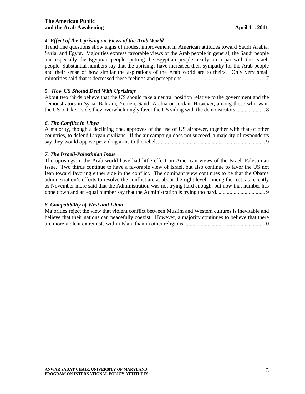### *4. Effect of the Uprising on Views of the Arab World*

Trend line questions show signs of modest improvement in American attitudes toward Saudi Arabia, Syria, and Egypt. Majorities express favorable views of the Arab people in general, the Saudi people and especially the Egyptian people, putting the Egyptian people nearly on a par with the Israeli people. Substantial numbers say that the uprisings have increased their sympathy for the Arab people and their sense of how similar the aspirations of the Arab world are to theirs. Only very small minorities said that it decreased these feelings and perceptions. .......................................................... 7

# *5. How US Should Deal With Uprisings*

About two thirds believe that the US should take a neutral position relative to the government and the demonstrators in Syria, Bahrain, Yemen, Saudi Arabia or Jordan. However, among those who want the US to take a side, they overwhelmingly favor the US siding with the demonstrators. .................... 8

# *6. The Conflict in Libya*

A majority, though a declining one, approves of the use of US airpower, together with that of other countries, to defend Libyan civilians. If the air campaign does not succeed, a majority of respondents say they would oppose providing arms to the rebels.............................................................................. 9

# *7. The Israeli-Palestinian Issue*

The uprisings in the Arab world have had little effect on American views of the Israeli-Palestinian issue. Two thirds continue to have a favorable view of Israel, but also continue to favor the US not lean toward favoring either side in the conflict. The dominant view continues to be that the Obama administration's efforts to resolve the conflict are at about the right level; among the rest, as recently as November more said that the Administration was not trying hard enough, but now that number has gone down and an equal number say that the Administration is trying too hard. .................................. 9

#### *8. Compatibility of West and Islam*

Majorities reject the view that violent conflict between Muslim and Western cultures is inevitable and believe that their nations can peacefully coexist. However, a majority continues to believe that there are more violent extremists within Islam than in other religions.. ....................................................... 10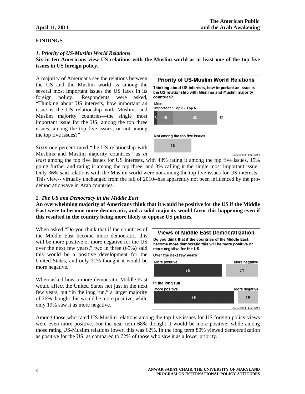#### **FINDINGS**

#### *1. Priority of US-Muslim World Relations*

#### **Six in ten Americans view US relations with the Muslim world as at least one of the top five issues in US foreign policy.**

A majority of Americans see the relations between the US and the Muslim world as among the several most important issues the US faces in its foreign policy. Respondents were asked, "Thinking about US interests, how important an issue is the US relationship with Muslims and Muslim majority countries—the single most important issue for the US; among the top three issues; among the top five issues; or not among the top five issues?"

Sixty-one percent rated "the US relationship with Muslims and Muslim majority countries" as *at* 



*least* among the top five issues for US interests, with 43% rating it among the top five issues, 15% going further and rating it among the top three, and 3% calling it the single most important issue. Only 36% said relations with the Muslim world were not among the top five issues for US interests. This view-- virtually unchanged from the fall of 2010--has apparently not been influenced by the prodemocratic wave in Arab countries.

#### *2. The US and Democracy in the Middle East*

**An overwhelming majority of Americans think that it would be positive for the US if the Middle East were to become more democratic, and a solid majority would favor this happening even if this resulted in the country being more likely to oppose US policies.** 

When asked "Do you think that if the countries of the Middle East become more democratic, this will be more positive or more negative for the US over the next few years," two in three (65%) said this would be a positive development for the United States, and only 31% thought it would be more negative.

When asked how a more democratic Middle East would affect the United States not just in the next few years, but "in the long run," a larger majority of 76% thought this would be more positive, while only 19% saw it as more negative.



Among those who rated US-Muslim relations among the top five issues for US foreign policy views were even more positive. For the near term 68% thought it would be more positive; while among those rating US-Muslim relations lower, this was 62%. In the long term 80% viewed democratization as positive for the US, as compared to 72% of those who saw it as a lower priority.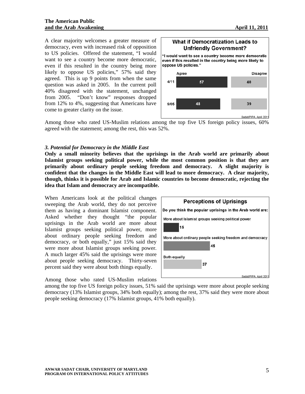A clear majority welcomes a greater measure of democracy, even with increased risk of opposition to US policies. Offered the statement, "I would want to see a country become more democratic, even if this resulted in the country being more likely to oppose US policies," 57% said they agreed. This is up 9 points from when the same question was asked in 2005. In the current poll 40% disagreed with the statement, unchanged from 2005. "Don't know" responses dropped from 12% to 4%, suggesting that Americans have come to greater clarity on the issue.

#### **What if Democratization Leads to Unfriendly Government?**

"I would want to see a country become more democratic even if this resulted in the country being more likely to oppose US policies."



Among those who rated US-Muslim relations among the top five US foreign policy issues, 60% agreed with the statement; among the rest, this was 52%.

### *3. Potential for Democracy in the Middle East*

**Only a small minority believes that the uprisings in the Arab world are primarily about Islamist groups seeking political power, while the most common position is that they are primarily about ordinary people seeking freedom and democracy. A slight majority is confident that the changes in the Middle East will lead to more democracy. A clear majority, though, thinks it is possible for Arab and Islamic countries to become democratic, rejecting the idea that Islam and democracy are incompatible.** 

When Americans look at the political changes sweeping the Arab world, they do not perceive them as having a dominant Islamist component. Asked whether they thought "the popular uprisings in the Arab world are more about Islamist groups seeking political power, more about ordinary people seeking freedom and democracy, or both equally," just 15% said they were more about Islamist groups seeking power. A much larger 45% said the uprisings were more about people seeking democracy. Thirty-seven percent said they were about both things equally.

Among those who rated US-Muslim relations



among the top five US foreign policy issues, 51% said the uprisings were more about people seeking democracy (13% Islamist groups, 34% both equally); among the rest, 37% said they were more about people seeking democracy (17% Islamist groups, 41% both equally).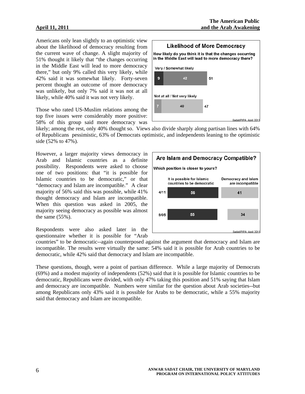Americans only lean slightly to an optimistic view about the likelihood of democracy resulting from the current wave of change. A slight majority of 51% thought it likely that "the changes occurring in the Middle East will lead to more democracy there," but only 9% called this very likely, while 42% said it was somewhat likely. Forty-seven percent thought an outcome of more democracy was unlikely, but only 7% said it was not at all likely, while 40% said it was not very likely.

Those who rated US-Muslim relations among the top five issues were considerably more positive: 58% of this group said more democracy was



likely; among the rest, only 40% thought so. Views also divide sharply along partisan lines with 64% of Republicans pessimistic, 63% of Democrats optimistic, and independents leaning to the optimistic side (52% to 47%).

However, a larger majority views democracy in Arab and Islamic countries as a definite possibility. Respondents were asked to choose one of two positions: that "it is possible for Islamic countries to be democratic," or that "democracy and Islam are incompatible." A clear majority of 56% said this was possible, while 41% thought democracy and Islam are incompatible. When this question was asked in 2005, the majority seeing democracy as possible was almost the same (55%).

Respondents were also asked later in the questionnaire whether it is possible for "Arab

countries" to be democratic--again counterposed against the argument that democracy and Islam are incompatible. The results were virtually the same: 54% said it is possible for Arab countries to be democratic, while 42% said that democracy and Islam are incompatible.

These questions, though, were a point of partisan difference. While a large majority of Democrats (69%) and a modest majority of independents (52%) said that it is possible for Islamic countries to be democratic, Republicans were divided, with only 47% taking this position and 51% saying that Islam and democracy are incompatible. Numbers were similar for the question about Arab societies--but among Republicans only 43% said it is possible for Arabs to be democratic, while a 55% majority said that democracy and Islam are incompatible.

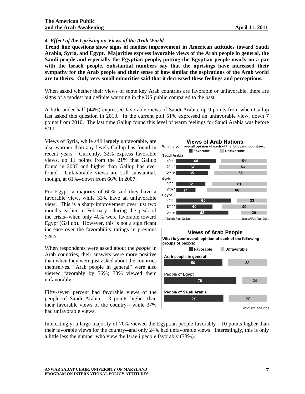#### *4. Effect of the Uprising on Views of the Arab World*

**Trend line questions show signs of modest improvement in American attitudes toward Saudi Arabia, Syria, and Egypt. Majorities express favorable views of the Arab people in general, the Saudi people and especially the Egyptian people, putting the Egyptian people nearly on a par with the Israeli people. Substantial numbers say that the uprisings have increased their sympathy for the Arab people and their sense of how similar the aspirations of the Arab world are to theirs. Only very small minorities said that it decreased these feelings and perceptions.** 

When asked whether their views of some key Arab countries are favorable or unfavorable, there are signs of a modest but definite warming in the US public compared to the past.

A little under half (44%) expressed favorable views of Saudi Arabia, up 9 points from when Gallup last asked this question in 2010. In the current poll 51% expressed an unfavorable view, down 7 points from 2010. The last time Gallup found this level of warm feelings for Saudi Arabia was before 9/11.

Views of Syria, while still largely unfavorable, are also warmer than any levels Gallup has found in recent years. Currently, 32% express favorable views, up 11 points from the 21% that Gallup found in 2007 and higher than Gallup has ever found. Unfavorable views are still substantial, though, at 61%--down from 66% in 2007.

For Egypt, a majority of 60% said they have a favorable view, while 33% have an unfavorable view. This is a sharp improvement over just two months earlier in February—during the peak of the crisis--when only 40% were favorable toward Egypt (Gallup). However, this is not a significant increase over the favorability ratings in previous years.

When respondents were asked about the *people* in Arab countries, their answers were more positive than when they were just asked about the countries themselves. "Arab people in general" were also viewed favorably by 56%; 38% viewed them unfavorably.

Fifty-seven percent had favorable views of the people of Saudi Arabia—13 points higher than their favorable views of the country-- while 37% had unfavorable views.





Interestingly, a large majority of 70% viewed the Egyptian people favorably—10 points higher than their favorable views for the country--and only 24% had unfavorable views. Interestingly, this is only a little less the number who view the Israeli people favorably (73%).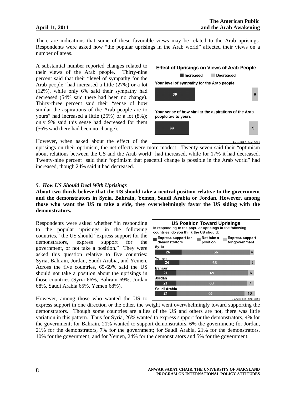There are indications that some of these favorable views may be related to the Arab uprisings. Respondents were asked how "the popular uprisings in the Arab world" affected their views on a number of areas.

A substantial number reported changes related to their views of the Arab people. Thirty-nine percent said that their "level of sympathy for the Arab people" had increased a little (27%) or a lot (12%), while only 6% said their sympathy had decreased (54% said there had been no change). Thirty-three percent said their "sense of how similar the aspirations of the Arab people are to yours" had increased a little (25%) or a lot (8%); only 9% said this sense had decreased for them (56% said there had been no change).

However, when asked about the effect of the

uprisings on their optimism, the net effects were more modest. Twenty-seven said their "optimism about relations between the US and the Arab world" had increased, while for 17% it had decreased. Twenty-nine percent said their "optimism that peaceful change is possible in the Arab world" had increased, though 24% said it had decreased.

#### *5. How US Should Deal With Uprisings*

**About two thirds believe that the US should take a neutral position relative to the government and the demonstrators in Syria, Bahrain, Yemen, Saudi Arabia or Jordan. However, among those who want the US to take a side, they overwhelmingly favor the US siding with the demonstrators.** 

Respondents were asked whether "in responding to the popular uprisings in the following countries," the US should "express support for the demonstrators, express support for the government, or not take a position." They were asked this question relative to five countries: Syria, Bahrain, Jordan, Saudi Arabia, and Yemen. Across the five countries, 65-69% said the US should not take a position about the uprisings in those countries (Syria 66%, Bahrain 69%, Jordan 68%, Saudi Arabia 65%, Yemen 68%).

**US Position Toward Uprisings** In responding to the popular uprisings in the following countries, do you think the US should:  $\blacksquare$  Express support for  $\blacksquare$  Not take a **Express support** m, demonstrators position for government Syria  $26$ Yemen 24 **Bahrain**  $21$ Jordan  $21$ Saudi Arabia  $21$ Sadat/PIPA, April 2011

However, among those who wanted the US to

express support in one direction or the other, the weight went overwhelmingly toward supporting the demonstrators. Though some countries are allies of the US and others are not, there was little variation in this pattern. Thus for Syria, 26% wanted to express support for the demonstrators, 4% for the government; for Bahrain, 21% wanted to support demonstrators, 6% the government; for Jordan, 21% for the demonstrators, 7% for the government; for Saudi Arabia, 21% for the demonstrators, 10% for the government; and for Yemen, 24% for the demonstrators and 5% for the government.

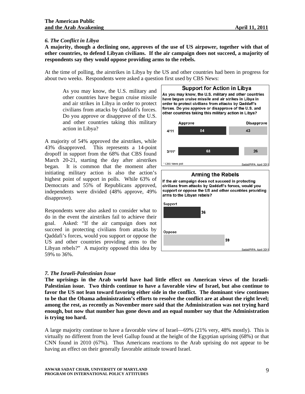### *6. The Conflict in Libya*

**A majority, though a declining one, approves of the use of US airpower, together with that of other countries, to defend Libyan civilians. If the air campaign does not succeed, a majority of respondents say they would oppose providing arms to the rebels.** 

At the time of polling, the airstrikes in Libya by the US and other countries had been in progress for about two weeks. Respondents were asked a question first used by CBS News:

As you may know, the U.S. military and other countries have begun cruise missile and air strikes in Libya in order to protect civilians from attacks by Qaddafi's forces. Do you approve or disapprove of the U.S. and other countries taking this military action in Libya?

A majority of 54% approved the airstrikes, while 43% disapproved. This represents a 14-point dropoff in support from the 68% that CBS found March 20-21, starting the day after airstrikes began. It is common that the moment after initiating military action is also the action's highest point of support in polls. While 63% of Democrats and 55% of Republicans approved, independents were divided (48% approve, 49% disapprove).

Respondents were also asked to consider what to do in the event the airstrikes fail to achieve their goal. Asked: "If the air campaign does not succeed in protecting civilians from attacks by Qaddafi's forces, would you support or oppose the US and other countries providing arms to the Libyan rebels?" A majority opposed this idea by 59% to 36%.



#### *7. The Israeli-Palestinian Issue*

**The uprisings in the Arab world have had little effect on American views of the Israeli-Palestinian issue. Two thirds continue to have a favorable view of Israel, but also continue to favor the US not lean toward favoring either side in the conflict. The dominant view continues to be that the Obama administration's efforts to resolve the conflict are at about the right level; among the rest, as recently as November more said that the Administration was not trying hard enough, but now that number has gone down and an equal number say that the Administration is trying too hard.** 

A large majority continue to have a favorable view of Israel—69% (21% very, 48% mostly). This is virtually no different from the level Gallup found at the height of the Egyptian uprising (68%) or that CNN found in 2010 (67%). Thus Americans reactions to the Arab uprising do not appear to be having an effect on their generally favorable attitude toward Israel.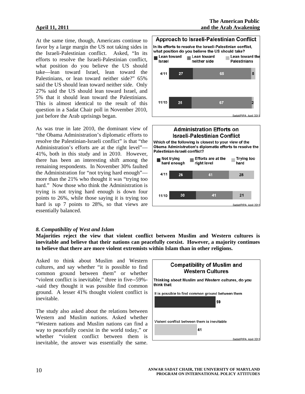At the same time, though, Americans continue to favor by a large margin the US not taking sides in the Israeli-Palestinian conflict. Asked, "In its efforts to resolve the Israeli-Palestinian conflict, what position do you believe the US should take—lean toward Israel, lean toward the Palestinians, or lean toward neither side?" 65% said the US should lean toward neither side. Only 27% said the US should lean toward Israel, and 5% that it should lean toward the Palestinians. This is almost identical to the result of this question in a Sadat Chair poll in November 2010, just before the Arab uprisings began.

As was true in late 2010, the dominant view of "the Obama Administration's diplomatic efforts to resolve the Palestinian-Israeli conflict" is that "the Administration's efforts are at the right level"— 41%, both in this study and in 2010. However, there has been an interesting shift among the remaining respondents. In November 30% faulted the Administration for "not trying hard enough" more than the 21% who thought it was "trying too hard." Now those who think the Administration is trying is not trying hard enough is down four points to 26%, while those saying it is trying too hard is up 7 points to 28%, so that views are essentially balanced.





#### *8. Compatibility of West and Islam*

**Majorities reject the view that violent conflict between Muslim and Western cultures is inevitable and believe that their nations can peacefully coexist. However, a majority continues to believe that there are more violent extremists within Islam than in other religions.** 

Asked to think about Muslim and Western cultures, and say whether "it is possible to find common ground between them" or whether "violent conflict is inevitable," three in five--59%- -said they thought it was possible find common ground. A lesser 41% thought violent conflict is inevitable.

The study also asked about the relations between Western and Muslim *nations*. Asked whether "Western nations and Muslim nations can find a way to peacefully coexist in the world today," or whether "violent conflict between them is inevitable, the answer was essentially the same.